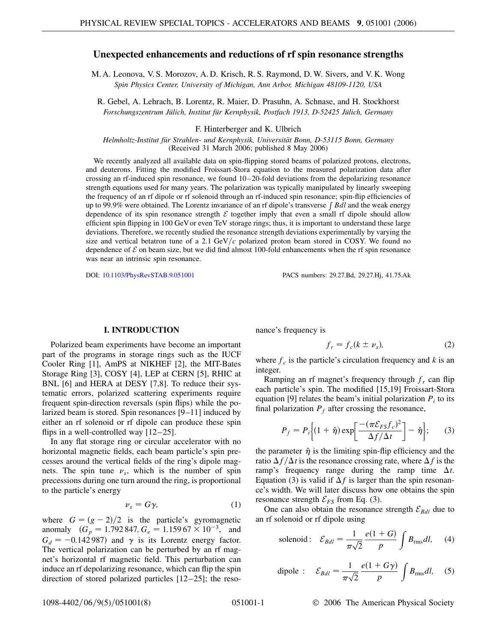# **Unexpected enhancements and reductions of rf spin resonance strengths**

M. A. Leonova, V. S. Morozov, A. D. Krisch, R. S. Raymond, D. W. Sivers, and V. K. Wong *Spin Physics Center, University of Michigan, Ann Arbor, Michigan 48109-1120, USA*

R. Gebel, A. Lehrach, B. Lorentz, R. Maier, D. Prasuhn, A. Schnase, and H. Stockhorst Forschungszentrum Jülich, Institut für Kernphysik, Postfach 1913, D-52425 Jülich, Germany

### F. Hinterberger and K. Ulbrich

*Helmholtz-Institut fu¨r Strahlen- und Kernphysik, Universita¨t Bonn, D-53115 Bonn, Germany* (Received 31 March 2006; published 8 May 2006)

We recently analyzed all available data on spin-flipping stored beams of polarized protons, electrons, and deuterons. Fitting the modified Froissart-Stora equation to the measured polarization data after crossing an rf-induced spin resonance, we found 10–20-fold deviations from the depolarizing resonance strength equations used for many years. The polarization was typically manipulated by linearly sweeping the frequency of an rf dipole or rf solenoid through an rf-induced spin resonance; spin-flip efficiencies of up to 99.9% were obtained. The Lorentz invariance of an rf dipole's transverse *[Bdl* and the weak energy dependence of its spin resonance strength  $\mathcal E$  together imply that even a small rf dipole should allow efficient spin flipping in 100 GeVor even TeV storage rings; thus, it is important to understand these large deviations. Therefore, we recently studied the resonance strength deviations experimentally by varying the size and vertical betatron tune of a 2.1  $GeV/c$  polarized proton beam stored in COSY. We found no dependence of  $\mathcal E$  on beam size, but we did find almost 100-fold enhancements when the rf spin resonance was near an intrinsic spin resonance.

DOI: [10.1103/PhysRevSTAB.9.051001](http://dx.doi.org/10.1103/PhysRevSTAB.9.051001) PACS numbers: 29.27.Bd, 29.27.Hj, 41.75.Ak

## **I. INTRODUCTION**

Polarized beam experiments have become an important part of the programs in storage rings such as the IUCF Cooler Ring [1], AmPS at NIKHEF [2], the MIT-Bates Storage Ring [3], COSY [4], LEP at CERN [5], RHIC at BNL [6] and HERA at DESY [7,8]. To reduce their systematic errors, polarized scattering experiments require frequent spin-direction reversals (spin flips) while the polarized beam is stored. Spin resonances [9–11] induced by either an rf solenoid or rf dipole can produce these spin flips in a well-controlled way  $[12–25]$ .

In any flat storage ring or circular accelerator with no horizontal magnetic fields, each beam particle's spin precesses around the vertical fields of the ring's dipole magnets. The spin tune  $\nu_s$ , which is the number of spin precessions during one turn around the ring, is proportional to the particle's energy

$$
\nu_s = G\gamma,\tag{1}
$$

where  $G = (g - 2)/2$  is the particle's gyromagnetic anomaly  $(G_p = 1.792847, G_e = 1.15967 \times 10^{-3}, \text{ and}$  $G_d = -0.142987$  and  $\gamma$  is its Lorentz energy factor. The vertical polarization can be perturbed by an rf magnet's horizontal rf magnetic field. This perturbation can induce an rf depolarizing resonance, which can flip the spin direction of stored polarized particles [12–25]; the resonance's frequency is

$$
f_r = f_c(k \pm \nu_s), \tag{2}
$$

where  $f_c$  is the particle's circulation frequency and  $k$  is an integer.

Ramping an rf magnet's frequency through  $f_r$  can flip each particle's spin. The modified [15,19] Froissart-Stora equation [9] relates the beam's initial polarization  $P_i$  to its final polarization  $P_f$  after crossing the resonance,

$$
P_f = P_i \bigg\{ (1 + \hat{\eta}) \exp \bigg[ \frac{-(\pi \mathcal{E}_{FS} f_c)^2}{\Delta f / \Delta t} \bigg] - \hat{\eta} \bigg\};\qquad(3)
$$

the parameter  $\hat{\eta}$  is the limiting spin-flip efficiency and the ratio  $\Delta f/\Delta t$  is the resonance crossing rate, where  $\Delta f$  is the ramp's frequency range during the ramp time  $\Delta t$ . Equation (3) is valid if  $\Delta f$  is larger than the spin resonance's width. We will later discuss how one obtains the spin resonance strength  $\mathcal{E}_{FS}$  from Eq. (3).

One can also obtain the resonance strength  $\mathcal{E}_{Bdl}$  due to an rf solenoid or rf dipole using

solenoid: 
$$
\mathcal{E}_{Bdl} = \frac{1}{\pi\sqrt{2}} \frac{e(1+G)}{p} \int B_{\text{rms}} dl
$$
, (4)

dipole : 
$$
\mathcal{E}_{Bdl} = \frac{1}{\pi\sqrt{2}} \frac{e(1+G\gamma)}{p} \int B_{\text{rms}} dl
$$
, (5)

1098-4402/06/9(5)/051001(8) 051001-1 © 2006 The American Physical Society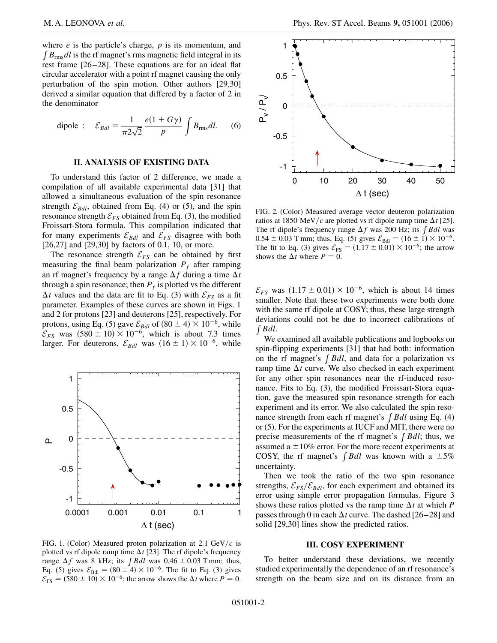where *e* is the particle's charge, *p* is its momentum, and  $\int B_{\rm rms} dl$  is the rf magnet's rms magnetic field integral in its rest frame [26–28]. These equations are for an ideal flat circular accelerator with a point rf magnet causing the only perturbation of the spin motion. Other authors [29,30] derived a similar equation that differed by a factor of 2 in the denominator

dipole : 
$$
\mathcal{E}_{Bdl} = \frac{1}{\pi 2\sqrt{2}} \frac{e(1+G\gamma)}{p} \int B_{\text{rms}} dl.
$$
 (6)

## **II. ANALYSIS OF EXISTING DATA**

To understand this factor of 2 difference, we made a compilation of all available experimental data [31] that allowed a simultaneous evaluation of the spin resonance strength  $\mathcal{E}_{Bdl}$ , obtained from Eq. (4) or (5), and the spin resonance strength  $\mathcal{E}_{FS}$  obtained from Eq. (3), the modified Froissart-Stora formula. This compilation indicated that for many experiments  $\mathcal{E}_{Bdl}$  and  $\mathcal{E}_{FS}$  disagree with both [26,27] and [29,30] by factors of 0.1, 10, or more.

The resonance strength  $\mathcal{E}_{FS}$  can be obtained by first measuring the final beam polarization  $P_f$  after ramping an rf magnet's frequency by a range  $\Delta f$  during a time  $\Delta t$ through a spin resonance; then  $P_f$  is plotted vs the different  $\Delta t$  values and the data are fit to Eq. (3) with  $\mathcal{E}_{FS}$  as a fit parameter. Examples of these curves are shown in Figs. 1 and 2 for protons [23] and deuterons [25], respectively. For protons, using Eq. (5) gave  $\mathcal{E}_{Bdl}$  of  $(80 \pm 4) \times 10^{-6}$ , while  $\mathcal{E}_{FS}$  was  $(580 \pm 10) \times 10^{-6}$ , which is about 7.3 times larger. For deuterons,  $\mathcal{E}_{Bdl}$  was  $(16 \pm 1) \times 10^{-6}$ , while



FIG. 1. (Color) Measured proton polarization at 2.1 GeV/ $c$  is plotted vs rf dipole ramp time  $\Delta t$  [23]. The rf dipole's frequency range  $\Delta f$  was 8 kHz; its  $\int B dl$  was  $0.46 \pm 0.03$  T mm; thus, Eq. (5) gives  $\mathcal{E}_{\text{Bdl}} = (80 \pm 4) \times 10^{-6}$ . The fit to Eq. (3) gives  $\mathcal{E}_{\text{FS}} = (580 \pm 10) \times 10^{-6}$ ; the arrow shows the  $\Delta t$  where  $P = 0$ .



FIG. 2. (Color) Measured average vector deuteron polarization ratios at 1850 MeV/c are plotted vs rf dipole ramp time  $\Delta t$  [25]. The rf dipole's frequency range  $\Delta f$  was 200 Hz; its  $\int B dl$  was  $0.54 \pm 0.03$  T mm; thus, Eq. (5) gives  $\mathcal{E}_{\text{Bdl}} = (16 \pm 1) \times 10^{-6}$ . The fit to Eq. (3) gives  $\mathcal{E}_{FS} = (1.17 \pm 0.01) \times 10^{-6}$ ; the arrow shows the  $\Delta t$  where  $P = 0$ .

 $\mathcal{E}_{FS}$  was  $(1.17 \pm 0.01) \times 10^{-6}$ , which is about 14 times smaller. Note that these two experiments were both done with the same rf dipole at COSY; thus, these large strength deviations could not be due to incorrect calibrations of  $\int B dl$ .

We examined all available publications and logbooks on spin-flipping experiments [31] that had both: information on the rf magnet's  $\int B dl$ , and data for a polarization vs ramp time  $\Delta t$  curve. We also checked in each experiment for any other spin resonances near the rf-induced resonance. Fits to Eq. (3), the modified Froissart-Stora equation, gave the measured spin resonance strength for each experiment and its error. We also calculated the spin resonance strength from each rf magnet's  $\int B dl$  using Eq. (4) or (5). For the experiments at IUCF and MIT, there were no precise measurements of the rf magnet's  $\int B dl$ ; thus, we assumed a  $\pm 10\%$  error. For the more recent experiments at COSY, the rf magnet's  $\int B dl$  was known with a  $\pm 5\%$ uncertainty.

Then we took the ratio of the two spin resonance strengths,  $\mathcal{E}_{FS}/\mathcal{E}_{Bdl}$ , for each experiment and obtained its error using simple error propagation formulas. Figure 3 shows these ratios plotted vs the ramp time  $\Delta t$  at which *P* passes through 0 in each  $\Delta t$  curve. The dashed [26–28] and solid [29,30] lines show the predicted ratios.

### **III. COSY EXPERIMENT**

To better understand these deviations, we recently studied experimentally the dependence of an rf resonance's strength on the beam size and on its distance from an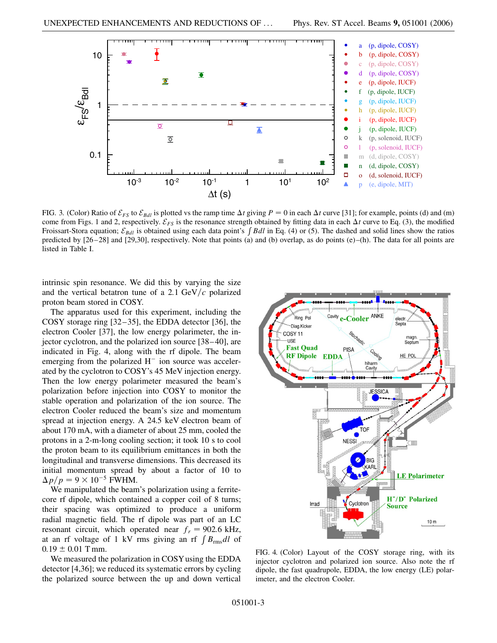

FIG. 3. (Color) Ratio of  $\mathcal{E}_{FS}$  to  $\mathcal{E}_{Bdl}$  is plotted vs the ramp time  $\Delta t$  giving  $P = 0$  in each  $\Delta t$  curve [31]; for example, points (d) and (m) come from Figs. 1 and 2, respectively.  $\mathcal{E}_{FS}$  is the resonance strength obtained by fitting data in each  $\Delta t$  curve to Eq. (3), the modified Froissart-Stora equation;  $\mathcal{E}_{Bdl}$  is obtained using each data point's  $\int Bdl$  in Eq. (4) or (5). The dashed and solid lines show the ratios predicted by [26–28] and [29,30], respectively. Note that points (a) and (b) overlap, as do points (e)–(h). The data for all points are listed in Table I.

intrinsic spin resonance. We did this by varying the size and the vertical betatron tune of a 2.1  $GeV/c$  polarized proton beam stored in COSY.

The apparatus used for this experiment, including the COSY storage ring [32–35], the EDDA detector [36], the electron Cooler [37], the low energy polarimeter, the injector cyclotron, and the polarized ion source [38–40], are indicated in Fig. 4, along with the rf dipole. The beam emerging from the polarized  $H^-$  ion source was accelerated by the cyclotron to COSY's 45 MeV injection energy. Then the low energy polarimeter measured the beam's polarization before injection into COSY to monitor the stable operation and polarization of the ion source. The electron Cooler reduced the beam's size and momentum spread at injection energy. A 24.5 keV electron beam of about 170 mA, with a diameter of about 25 mm, cooled the protons in a 2-m-long cooling section; it took 10 s to cool the proton beam to its equilibrium emittances in both the longitudinal and transverse dimensions. This decreased its initial momentum spread by about a factor of 10 to  $\Delta p/p = 9 \times 10^{-5}$  FWHM.

We manipulated the beam's polarization using a ferritecore rf dipole, which contained a copper coil of 8 turns; their spacing was optimized to produce a uniform radial magnetic field. The rf dipole was part of an LC resonant circuit, which operated near  $f_r = 902.6$  kHz, at an rf voltage of 1 kV rms giving an rf  $\int B_{\rm rms} dl$  of  $0.19 \pm 0.01$  T mm.

We measured the polarization in COSYusing the EDDA detector [4,36]; we reduced its systematic errors by cycling the polarized source between the up and down vertical



FIG. 4. (Color) Layout of the COSY storage ring, with its injector cyclotron and polarized ion source. Also note the rf dipole, the fast quadrupole, EDDA, the low energy (LE) polarimeter, and the electron Cooler.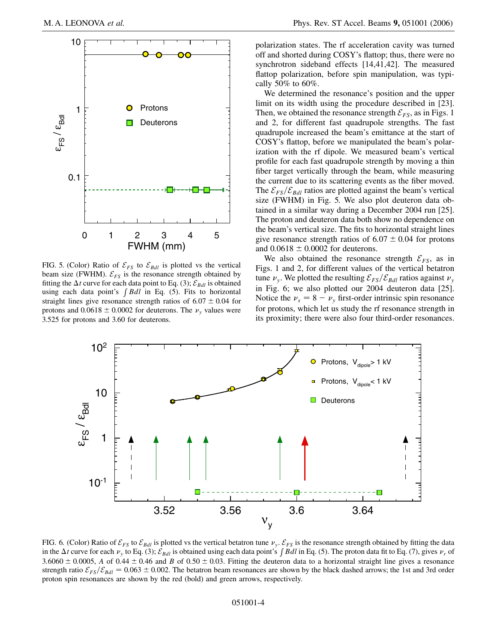

FIG. 5. (Color) Ratio of  $\mathcal{E}_{FS}$  to  $\mathcal{E}_{Bdl}$  is plotted vs the vertical beam size (FWHM).  $\mathcal{E}_{FS}$  is the resonance strength obtained by fitting the  $\Delta t$  curve for each data point to Eq. (3);  $\mathcal{E}_{Bdl}$  is obtained using each data point's *[Bdl* in Eq. (5). Fits to horizontal straight lines give resonance strength ratios of  $6.07 \pm 0.04$  for protons and  $0.0618 \pm 0.0002$  for deuterons. The  $\nu$ <sub>v</sub> values were 3.525 for protons and 3.60 for deuterons.

polarization states. The rf acceleration cavity was turned off and shorted during COSY's flattop; thus, there were no synchrotron sideband effects [14,41,42]. The measured flattop polarization, before spin manipulation, was typically 50% to 60%.

We determined the resonance's position and the upper limit on its width using the procedure described in [23]. Then, we obtained the resonance strength  $\mathcal{E}_{FS}$ , as in Figs. 1 and 2, for different fast quadrupole strengths. The fast quadrupole increased the beam's emittance at the start of COSY's flattop, before we manipulated the beam's polarization with the rf dipole. We measured beam's vertical profile for each fast quadrupole strength by moving a thin fiber target vertically through the beam, while measuring the current due to its scattering events as the fiber moved. The  $\mathcal{E}_{FS}/\mathcal{E}_{Bdl}$  ratios are plotted against the beam's vertical size (FWHM) in Fig. 5. We also plot deuteron data obtained in a similar way during a December 2004 run [25]. The proton and deuteron data both show no dependence on the beam's vertical size. The fits to horizontal straight lines give resonance strength ratios of  $6.07 \pm 0.04$  for protons and  $0.0618 \pm 0.0002$  for deuterons.

We also obtained the resonance strength  $\mathcal{E}_{FS}$ , as in Figs. 1 and 2, for different values of the vertical betatron tune  $\nu_y$ . We plotted the resulting  $\mathcal{E}_{FS}/\mathcal{E}_{Bdl}$  ratios against  $\nu_y$ in Fig. 6; we also plotted our 2004 deuteron data [25]. Notice the  $\nu_s = 8 - \nu_y$  first-order intrinsic spin resonance for protons, which let us study the rf resonance strength in its proximity; there were also four third-order resonances.



FIG. 6. (Color) Ratio of  $\mathcal{E}_{FS}$  to  $\mathcal{E}_{Bd}$  is plotted vs the vertical betatron tune  $\nu_y$ .  $\mathcal{E}_{FS}$  is the resonance strength obtained by fitting the data in the  $\Delta t$  curve for each  $\nu_y$  to Eq. (3);  $\mathcal{E}_{Bdl}$  is obtained using each data point's  $\int B dl$  in Eq. (5). The proton data fit to Eq. (7), gives  $\nu_r$  of 3.6060  $\pm$  0.0005, *A* of 0.44  $\pm$  0.46 and *B* of 0.50  $\pm$  0.03. Fitting the deuteron data to a horizontal straight line gives a resonance strength ratio  $\mathcal{E}_{FS}/\mathcal{E}_{Bdl} = 0.063 \pm 0.002$ . The betatron beam resonances are shown by the black dashed arrows; the 1st and 3rd order proton spin resonances are shown by the red (bold) and green arrows, respectively.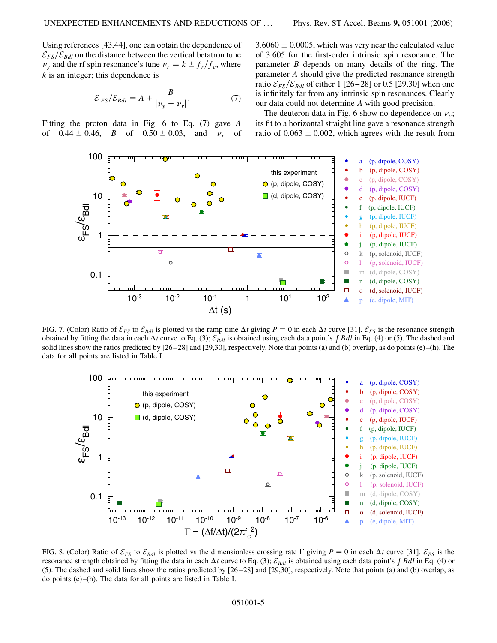Using references [43,44], one can obtain the dependence of  $\mathcal{E}_{FS}/\mathcal{E}_{Bdl}$  on the distance between the vertical betatron tune  $\nu$ <sub>y</sub> and the rf spin resonance's tune  $\nu$ <sub>r</sub> =  $k \pm f_r/f_c$ , where *k* is an integer; this dependence is

$$
\mathcal{E}_{FS}/\mathcal{E}_{Bdl} = A + \frac{B}{|\nu_y - \nu_r|}.
$$
 (7)

Fitting the proton data in Fig. 6 to Eq. (7) gave *A* of  $0.44 \pm 0.46$ , *B* of  $0.50 \pm 0.03$ , and  $v_r$  of  $3.6060 \pm 0.0005$ , which was very near the calculated value of 3*:*605 for the first-order intrinsic spin resonance. The parameter *B* depends on many details of the ring. The parameter *A* should give the predicted resonance strength ratio  $\mathcal{E}_{FS}/\mathcal{E}_{Bdl}$  of either 1 [26–28] or 0.5 [29,30] when one is infinitely far from any intrinsic spin resonances. Clearly our data could not determine *A* with good precision.

The deuteron data in Fig. 6 show no dependence on  $\nu_{\nu}$ ; its fit to a horizontal straight line gave a resonance strength ratio of  $0.063 \pm 0.002$ , which agrees with the result from



FIG. 7. (Color) Ratio of  $\mathcal{E}_{FS}$  to  $\mathcal{E}_{Bdl}$  is plotted vs the ramp time  $\Delta t$  giving  $P = 0$  in each  $\Delta t$  curve [31].  $\mathcal{E}_{FS}$  is the resonance strength obtained by fitting the data in each  $\Delta t$  curve to Eq. (3);  $\mathcal{E}_{Bdl}$  is obtained using each data point's  $\int B dl$  in Eq. (4) or (5). The dashed and solid lines show the ratios predicted by [26–28] and [29,30], respectively. Note that points (a) and (b) overlap, as do points (e)–(h). The data for all points are listed in Table I.



FIG. 8. (Color) Ratio of  $\mathcal{E}_{FS}$  to  $\mathcal{E}_{Bdl}$  is plotted vs the dimensionless crossing rate  $\Gamma$  giving  $P = 0$  in each  $\Delta t$  curve [31].  $\mathcal{E}_{FS}$  is the resonance strength obtained by fitting the data in each  $\Delta t$  curve to Eq. (3);  $\mathcal{E}_{Bdl}$  is obtained using each data point's  $\int Bdl$  in Eq. (4) or (5). The dashed and solid lines show the ratios predicted by [26–28] and [29,30], respectively. Note that points (a) and (b) overlap, as do points (e)–(h). The data for all points are listed in Table I.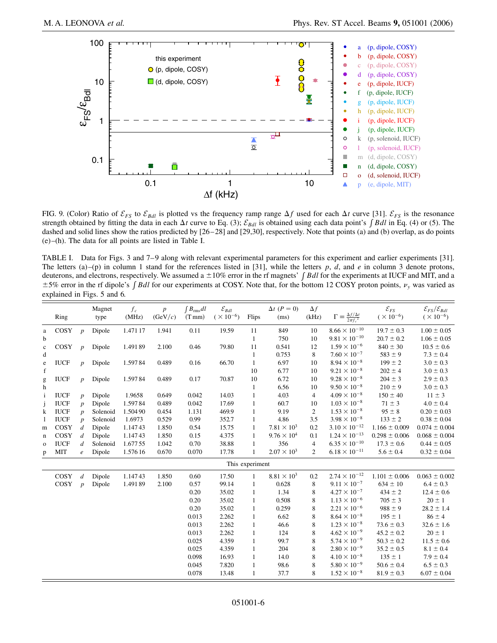

FIG. 9. (Color) Ratio of  $\mathcal{E}_{FS}$  to  $\mathcal{E}_{Bdl}$  is plotted vs the frequency ramp range  $\Delta f$  used for each  $\Delta t$  curve [31].  $\mathcal{E}_{FS}$  is the resonance strength obtained by fitting the data in each  $\Delta t$  curve to Eq. (3);  $\mathcal{E}_{Bdl}$  is obtained using each data point's  $\int Bdl$  in Eq. (4) or (5). The dashed and solid lines show the ratios predicted by [26–28] and [29,30], respectively. Note that points (a) and (b) overlap, as do points (e)–(h). The data for all points are listed in Table I.

TABLE I. Data for Figs. 3 and 7–9 along with relevant experimental parameters for this experiment and earlier experiments [31]. The letters (a)–(p) in column 1 stand for the references listed in [31], while the letters *p*, *d*, and *e* in column 3 denote protons, deuterons, and electrons, respectively. We assumed a  $\pm 10\%$  error in the rf magnets' *[Bdl* for the experiments at IUCF and MIT, and a  $\pm$  5% error in the rf dipole's *[Bdl* for our experiments at COSY. Note that, for the bottom 12 COSY proton points,  $\nu$ <sub>y</sub> was varied as explained in Figs. 5 and 6.

|              | Ring            |                  | Magnet<br>type | $\boldsymbol{f_c}$<br>(MHz) | $\boldsymbol{p}$<br>(GeV/c) | $\int B_{\rm rms} dl$<br>$(T \, \text{mm})$ | $\mathcal{E}_{Bdl}$<br>( $\times$ $10^{-6})$ | Flips        | $\Delta t$ ( $P=0$ )<br>(ms) | $\Delta f$<br>(kHz) | $\Gamma \equiv \frac{\Delta f/\Delta t}{2\pi f_c^2}$ | $\mathcal{E}_{FS}$<br>$(\times 10^{-6})$ | $\mathcal{E}_{FS}/\mathcal{E}_{Bdl}$<br>$(\times 10^{-6})$ |
|--------------|-----------------|------------------|----------------|-----------------------------|-----------------------------|---------------------------------------------|----------------------------------------------|--------------|------------------------------|---------------------|------------------------------------------------------|------------------------------------------|------------------------------------------------------------|
| a            | COSY            | $\boldsymbol{p}$ | Dipole         | 1.471 17                    | 1.941                       | 0.11                                        | 19.59                                        | 11           | 849                          | 10                  | $8.66 \times 10^{-10}$                               | $19.7 \pm 0.3$                           | $1.00 \pm 0.05$                                            |
| b            |                 |                  |                |                             |                             |                                             |                                              | $\mathbf{1}$ | 750                          | 10                  | $9.81 \times 10^{-10}$                               | $20.7 \pm 0.2$                           | $1.06 \pm 0.05$                                            |
| $\mathbf c$  | COSY            | $\boldsymbol{p}$ | Dipole         | 1.49189                     | 2.100                       | 0.46                                        | 79.80                                        | 11           | 0.541                        | 12                  | $1.59 \times 10^{-6}$                                | $840 \pm 30$                             | $10.5 \pm 0.6$                                             |
| d            |                 |                  |                |                             |                             |                                             |                                              | $\mathbf{1}$ | 0.753                        | 8                   | $7.60 \times 10^{-7}$                                | $583 \pm 9$                              | $7.3 \pm 0.4$                                              |
| $\rm e$      | <b>IUCF</b>     | $\boldsymbol{p}$ | Dipole         | 1.59784                     | 0.489                       | 0.16                                        | 66.70                                        | $\mathbf{1}$ | 6.97                         | 10                  | $8.94 \times 10^{-8}$                                | $199 \pm 2$                              | $3.0 \pm 0.3$                                              |
| $\mathbf f$  |                 |                  |                |                             |                             |                                             |                                              | 10           | 6.77                         | 10                  | $9.21 \times 10^{-8}$                                | $202 \pm 4$                              | $3.0 \pm 0.3$                                              |
| g            | <b>IUCF</b>     | $\boldsymbol{p}$ | Dipole         | 1.59784                     | 0.489                       | 0.17                                        | 70.87                                        | 10           | 6.72                         | 10                  | $9.28 \times 10^{-8}$                                | $204 \pm 3$                              | $2.9 \pm 0.3$                                              |
| h            |                 |                  |                |                             |                             |                                             |                                              | $\mathbf{1}$ | 6.56                         | 10                  | $9.50 \times 10^{-8}$                                | $210 \pm 9$                              | $3.0 \pm 0.3$                                              |
| $\mathbf{i}$ | <b>IUCF</b>     | $\boldsymbol{p}$ | Dipole         | 1.9658                      | 0.649                       | 0.042                                       | 14.03                                        | $\mathbf{1}$ | 4.03                         | $\overline{4}$      | $4.09 \times 10^{-8}$                                | $150 \pm 40$                             | $11 \pm 3$                                                 |
| j            | <b>IUCF</b>     | $\boldsymbol{p}$ | Dipole         | 1.59784                     | 0.489                       | 0.042                                       | 17.69                                        | $\mathbf{1}$ | 60.7                         | 10                  | $1.03 \times 10^{-8}$                                | $71 \pm 3$                               | $4.0 \pm 0.4$                                              |
| k            | <b>IUCF</b>     | $\boldsymbol{p}$ | Solenoid       | 1.50490                     | 0.454                       | 1.131                                       | 469.9                                        | $\mathbf{1}$ | 9.19                         | $\overline{2}$      | $1.53 \times 10^{-8}$                                | $95 \pm 8$                               | $0.20 \pm 0.03$                                            |
| 1            | <b>IUCF</b>     | $\boldsymbol{p}$ | Solenoid       | 1.6973                      | 0.529                       | 0.99                                        | 352.7                                        | $\mathbf{1}$ | 4.86                         | 3.5                 | $3.98 \times 10^{-8}$                                | $133 \pm 2$                              | $0.38 \pm 0.04$                                            |
| m            | COSY            | $\boldsymbol{d}$ | Dipole         | 1.14743                     | 1.850                       | 0.54                                        | 15.75                                        | $\mathbf{1}$ | $7.81 \times 10^3$           | 0.2                 | $3.10 \times 10^{-12}$                               | $1.166 \pm 0.009$                        | $0.074 \pm 0.004$                                          |
| $\mathbf n$  | COSY            | $\boldsymbol{d}$ | Dipole         | 1.14743                     | 1.850                       | 0.15                                        | 4.375                                        | $\mathbf{1}$ | $9.76 \times 10^{4}$         | 0.1                 | $1.24 \times 10^{-13}$                               | $0.298 \pm 0.006$                        | $0.068 \pm 0.004$                                          |
| $\mathbf O$  | <b>IUCF</b>     | d                | Solenoid       | 1.67755                     | 1.042                       | 0.70                                        | 38.88                                        | $\mathbf{1}$ | 356                          | $\overline{4}$      | $6.35 \times 10^{-10}$                               | $17.3 \pm 0.6$                           | $0.44 \pm 0.05$                                            |
| p            | <b>MIT</b>      | $\epsilon$       | Dipole         | 1.57616                     | 0.670                       | 0.070                                       | 17.78                                        | 1            | $2.07 \times 10^3$           | $\overline{2}$      | $6.18 \times 10^{-11}$                               | $5.6 \pm 0.4$                            | $0.32 \pm 0.04$                                            |
|              | This experiment |                  |                |                             |                             |                                             |                                              |              |                              |                     |                                                      |                                          |                                                            |
|              | COSY            | $\boldsymbol{d}$ | Dipole         | 1.14743                     | 1.850                       | 0.60                                        | 17.50                                        | $\mathbf{1}$ | $8.81 \times 10^{3}$         | 0.2                 | $2.74 \times 10^{-12}$                               | $1.101 \pm 0.006$                        | $0.063 \pm 0.002$                                          |
|              | COSY            | $\boldsymbol{p}$ | Dipole         | 1.49189                     | 2.100                       | 0.57                                        | 99.14                                        | $\mathbf{1}$ | 0.628                        | 8                   | $9.11 \times 10^{-7}$                                | $634 \pm 10$                             | $6.4 \pm 0.3$                                              |
|              |                 |                  |                |                             |                             | 0.20                                        | 35.02                                        | $\mathbf{1}$ | 1.34                         | 8                   | $4.27 \times 10^{-7}$                                | $434 \pm 2$                              | $12.4 \pm 0.6$                                             |
|              |                 |                  |                |                             |                             | 0.20                                        | 35.02                                        | $\mathbf{1}$ | 0.508                        | 8                   | $1.13 \times 10^{-6}$                                | $705 \pm 3$                              | $20 \pm 1$                                                 |
|              |                 |                  |                |                             |                             | 0.20                                        | 35.02                                        | $\mathbf{1}$ | 0.259                        | 8                   | $2.21\times10^{-6}$                                  | $988 \pm 9$                              | $28.2 \pm 1.4$                                             |
|              |                 |                  |                |                             |                             | 0.013                                       | 2.262                                        | $\mathbf{1}$ | 6.62                         | 8                   | $8.64 \times 10^{-8}$                                | $195 \pm 1$                              | $86 \pm 4$                                                 |
|              |                 |                  |                |                             |                             | 0.013                                       | 2.262                                        | 1            | 46.6                         | 8                   | $1.23 \times 10^{-8}$                                | $73.6 \pm 0.3$                           | $32.6 \pm 1.6$                                             |
|              |                 |                  |                |                             |                             | 0.013                                       | 2.262                                        | $\mathbf{1}$ | 124                          | 8                   | $4.62 \times 10^{-9}$                                | $45.2 \pm 0.2$                           | $20 \pm 1$                                                 |
|              |                 |                  |                |                             |                             | 0.025                                       | 4.359                                        | $\mathbf{1}$ | 99.7                         | 8                   | $5.74 \times 10^{-9}$                                | $50.3 \pm 0.2$                           | $11.5 \pm 0.6$                                             |
|              |                 |                  |                |                             |                             | 0.025                                       | 4.359                                        | $\mathbf{1}$ | 204                          | 8                   | $2.80 \times 10^{-9}$                                | $35.2 \pm 0.5$                           | $8.1 \pm 0.4$                                              |
|              |                 |                  |                |                             |                             | 0.098                                       | 16.93                                        | $\mathbf{1}$ | 14.0                         | 8                   | $4.10 \times 10^{-8}$                                | $135 \pm 1$                              | $7.9 \pm 0.4$                                              |
|              |                 |                  |                |                             |                             | 0.045                                       | 7.820                                        | $\mathbf{1}$ | 98.6                         | 8                   | $5.80 \times 10^{-9}$                                | $50.6 \pm 0.4$                           | $6.5 \pm 0.3$                                              |
|              |                 |                  |                |                             |                             | 0.078                                       | 13.48                                        | $\mathbf{1}$ | 37.7                         | 8                   | $1.52 \times 10^{-8}$                                | $81.9 \pm 0.3$                           | $6.07 \pm 0.04$                                            |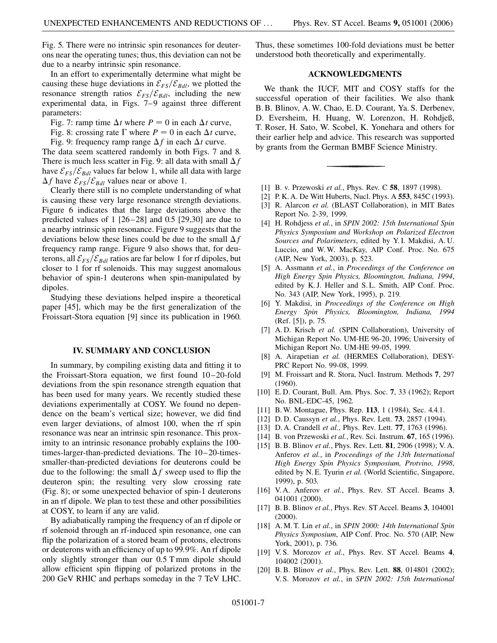Fig. 5. There were no intrinsic spin resonances for deuterons near the operating tunes; thus, this deviation can not be due to a nearby intrinsic spin resonance.

In an effort to experimentally determine what might be causing these huge deviations in  $\mathcal{E}_{FS}/\mathcal{E}_{Bdl}$ , we plotted the resonance strength ratios  $\mathcal{E}_{FS}/\mathcal{E}_{Bdl}$ , including the new experimental data, in Figs. 7–9 against three different parameters:

Fig. 7: ramp time  $\Delta t$  where  $P = 0$  in each  $\Delta t$  curve,

Fig. 8: crossing rate  $\Gamma$  where  $P = 0$  in each  $\Delta t$  curve,

Fig. 9: frequency ramp range  $\Delta f$  in each  $\Delta t$  curve.

The data seem scattered randomly in both Figs. 7 and 8. There is much less scatter in Fig. 9: all data with small  $\Delta f$ have  $\mathcal{E}_{FS}/\mathcal{E}_{Bdl}$  values far below 1, while all data with large  $\Delta f$  have  $\mathcal{E}_{FS}/\mathcal{E}_{Bdl}$  values near or above 1.

Clearly there still is no complete understanding of what is causing these very large resonance strength deviations. Figure 6 indicates that the large deviations above the predicted values of 1 [26–28] and 0.5 [29,30] are due to a nearby intrinsic spin resonance. Figure 9 suggests that the deviations below these lines could be due to the small  $\Delta f$ frequency ramp range. Figure 9 also shows that, for deuterons, all  $\mathcal{E}_{FS}/\mathcal{E}_{Bdl}$  ratios are far below 1 for rf dipoles, but closer to 1 for rf solenoids. This may suggest anomalous behavior of spin-1 deuterons when spin-manipulated by dipoles.

Studying these deviations helped inspire a theoretical paper [45], which may be the first generalization of the Froissart-Stora equation [9] since its publication in 1960.

## **IV. SUMMARY AND CONCLUSION**

In summary, by compiling existing data and fitting it to the Froissart-Stora equation, we first found 10–20-fold deviations from the spin resonance strength equation that has been used for many years. We recently studied these deviations experimentally at COSY. We found no dependence on the beam's vertical size; however, we did find even larger deviations, of almost 100, when the rf spin resonance was near an intrinsic spin resonance. This proximity to an intrinsic resonance probably explains the 100 times-larger-than-predicted deviations. The 10–20-timessmaller-than-predicted deviations for deuterons could be due to the following: the small  $\Delta f$  sweep used to flip the deuteron spin; the resulting very slow crossing rate (Fig. 8); or some unexpected behavior of spin-1 deuterons in an rf dipole. We plan to test these and other possibilities at COSY, to learn if any are valid.

By adiabatically ramping the frequency of an rf dipole or rf solenoid through an rf-induced spin resonance, one can flip the polarization of a stored beam of protons, electrons or deuterons with an efficiency of up to 99*:*9%. An rf dipole only slightly stronger than our 0*:*5 T mm dipole should allow efficient spin flipping of polarized protons in the 200 GeV RHIC and perhaps someday in the 7 TeV LHC. Thus, these sometimes 100-fold deviations must be better understood both theoretically and experimentally.

## **ACKNOWLEDGMENTS**

We thank the IUCF, MIT and COSY staffs for the successful operation of their facilities. We also thank B. B. Blinov, A. W. Chao, E. D. Courant, Ya. S. Derbenev, D. Eversheim, H. Huang, W. Lorenzon, H. Rohdjeß, T. Roser, H. Sato, W. Scobel, K. Yonehara and others for their earlier help and advice. This research was supported by grants from the German BMBF Science Ministry.

- [1] B. v. Przewoski *et al.*, Phys. Rev. C **58**, 1897 (1998).
- [2] P. K. A. De Witt Huberts, Nucl. Phys. A **553**, 845C (1993). [3] R. Alarcon *et al.* (BLAST Collaboration), in MIT Bates Report No. 2-39, 1999.
- [4] H. Rohdjess *et al.*, in *SPIN 2002: 15th International Spin Physics Symposium and Workshop on Polarized Electron Sources and Polarimeters*, edited by Y. I. Makdisi, A. U. Luccio, and W. W. MacKay, AIP Conf. Proc. No. 675 (AIP, New York, 2003), p. 523.
- [5] A. Assmann *et al.*, in *Proceedings of the Conference on High Energy Spin Physics, Bloomington, Indiana, 1994*, edited by K. J. Heller and S. L. Smith, AIP Conf. Proc. No. 343 (AIP, New York, 1995), p. 219.
- [6] Y. Makdisi, in *Proceedings of the Conference on High Energy Spin Physics, Bloomington, Indiana, 1994* (Ref. [5]), p. 75.
- [7] A. D. Krisch *et al.* (SPIN Collaboration), University of Michigan Report No. UM-HE 96-20, 1996; University of Michigan Report No. UM-HE 99-05, 1999.
- [8] A. Airapetian *et al.* (HERMES Collaboration), DESY-PRC Report No. 99-08, 1999.
- [9] M. Froissart and R. Stora, Nucl. Instrum. Methods **7**, 297 (1960).
- [10] E. D. Courant, Bull. Am. Phys. Soc. **7**, 33 (1962); Report No. BNL-EDC-45, 1962.
- [11] B. W. Montague, Phys. Rep. **113**, 1 (1984), Sec. 4.4.1.
- [12] D. D. Caussyn *et al.*, Phys. Rev. Lett. **73**, 2857 (1994).
- [13] D. A. Crandell *et al.*, Phys. Rev. Lett. **77**, 1763 (1996).
- [14] B. von Przewoski *et al.*, Rev. Sci. Instrum. **67**, 165 (1996).
- [15] B. B. Blinov *et al.*, Phys. Rev. Lett. **81**, 2906 (1998); V. A. Anferov *et al.*, in *Proceedings of the 13th International High Energy Spin Physics Symposium, Protvino, 1998*, edited by N. E. Tyurin *et al.* (World Scientific, Singapore, 1999), p. 503.
- [16] V. A. Anferov *et al.*, Phys. Rev. ST Accel. Beams **3**, 041001 (2000).
- [17] B. B. Blinov *et al.*, Phys. Rev. ST Accel. Beams **3**, 104001 (2000).
- [18] A. M. T. Lin *et al.*, in *SPIN 2000: 14th International Spin Physics Symposium*, AIP Conf. Proc. No. 570 (AIP, New York, 2001), p. 736.
- [19] V. S. Morozov *et al.*, Phys. Rev. ST Accel. Beams **4**, 104002 (2001).
- [20] B. B. Blinov *et al.*, Phys. Rev. Lett. **88**, 014801 (2002); V. S. Morozov *et al.*, in *SPIN 2002: 15th International*